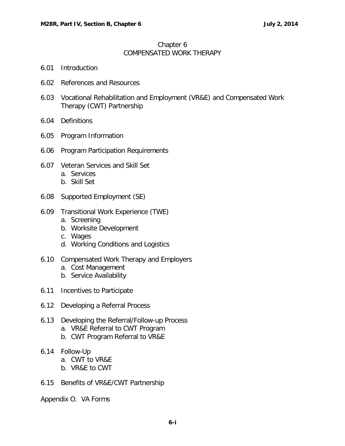## Chapter 6 COMPENSATED WORK THERAPY

- 6.01 [Introduction](#page-1-0)
- 6.02 [References and Resources](#page-1-1)
- 6.03 [Vocational Rehabilitation and Employment \(VR&E\) and Compensated Work](#page-1-2)  [Therapy \(CWT\) Partnership](#page-1-2)
- 6.04 [Definitions](#page-2-0)
- 6.05 [Program Information](#page-3-0)
- 6.06 [Program Participation Requirements](#page-4-0)
- 6.07 [Veteran Services and Skill Set](#page-4-1) a. [Services](#page-4-2)
	- b. [Skill Set](#page-5-0)
- 6.08 [Supported Employment \(SE\)](#page-5-1)
- 6.09 [Transitional Work Experience \(TWE\)](#page-6-0)
	- a. [Screening](#page-6-1)
	- b. [Worksite Development](#page-6-2)
	- c. [Wages](#page-6-3)
	- d. [Working Conditions and Logistics](#page-6-4)
- 6.10 [Compensated Work Therapy and Employers](#page-7-0)
	- a. [Cost Management](#page-7-1)
	- b. [Service Availability](#page-8-0)
- 6.11 [Incentives to Participate](#page-8-1)
- 6.12 [Developing a Referral Process](#page-8-2)
- 6.13 [Developing the Referral/Follow-up Process](#page-9-0) a. [VR&E Referral to CWT Program](#page-9-1)
	- b. [CWT Program Referral to VR&E](#page-10-0)
- 6.14 [Follow-Up](#page-11-0)
	- a. [CWT to VR&E](#page-11-1)
	- b. [VR&E to CWT](#page-11-2)
- 6.15 [Benefits of VR&E/CWT Partnership](#page-11-3)

Appendix O. VA Forms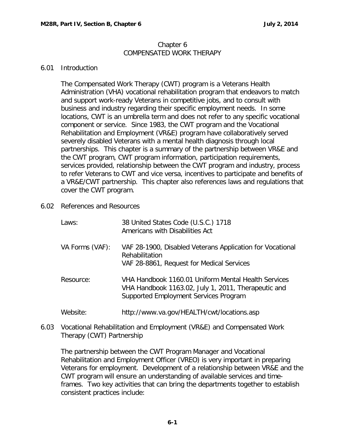#### Chapter 6 COMPENSATED WORK THERAPY

# <span id="page-1-0"></span>6.01 Introduction

The Compensated Work Therapy (CWT) program is a Veterans Health Administration (VHA) vocational rehabilitation program that endeavors to match and support work-ready Veterans in competitive jobs, and to consult with business and industry regarding their specific employment needs. In some locations, CWT is an umbrella term and does not refer to any specific vocational component or service. Since 1983, the CWT program and the Vocational Rehabilitation and Employment (VR&E) program have collaboratively served severely disabled Veterans with a mental health diagnosis through local partnerships. This chapter is a summary of the partnership between VR&E and the CWT program, CWT program information, participation requirements, services provided, relationship between the CWT program and industry, process to refer Veterans to CWT and vice versa, incentives to participate and benefits of a VR&E/CWT partnership. This chapter also references laws and regulations that cover the CWT program.

<span id="page-1-1"></span>6.02 References and Resources

| Laws:           | 38 United States Code (U.S.C.) 1718<br>Americans with Disabilities Act                                                                              |
|-----------------|-----------------------------------------------------------------------------------------------------------------------------------------------------|
| VA Forms (VAF): | VAF 28-1900, Disabled Veterans Application for Vocational<br>Rehabilitation<br>VAF 28-8861, Request for Medical Services                            |
| Resource:       | VHA Handbook 1160.01 Uniform Mental Health Services<br>VHA Handbook 1163.02, July 1, 2011, Therapeutic and<br>Supported Employment Services Program |
| Website:        | http://www.va.gov/HEALTH/cwt/locations.asp                                                                                                          |

<span id="page-1-2"></span>6.03 Vocational Rehabilitation and Employment (VR&E) and Compensated Work Therapy (CWT) Partnership

The partnership between the CWT Program Manager and Vocational Rehabilitation and Employment Officer (VREO) is very important in preparing Veterans for employment. Development of a relationship between VR&E and the CWT program will ensure an understanding of available services and timeframes. Two key activities that can bring the departments together to establish consistent practices include: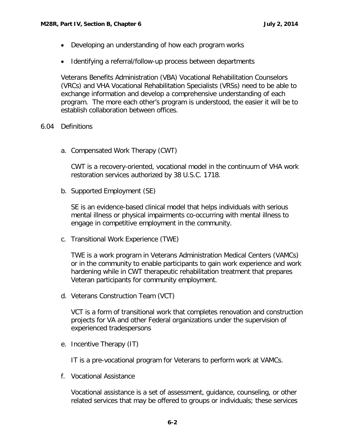- Developing an understanding of how each program works
- Identifying a referral/follow-up process between departments

Veterans Benefits Administration (VBA) Vocational Rehabilitation Counselors (VRCs) and VHA Vocational Rehabilitation Specialists (VRSs) need to be able to exchange information and develop a comprehensive understanding of each program. The more each other's program is understood, the easier it will be to establish collaboration between offices.

### <span id="page-2-0"></span>6.04 Definitions

a. Compensated Work Therapy (CWT)

CWT is a recovery-oriented, vocational model in the continuum of VHA work restoration services authorized by 38 U.S.C. 1718.

b. Supported Employment (SE)

SE is an evidence-based clinical model that helps individuals with serious mental illness or physical impairments co-occurring with mental illness to engage in competitive employment in the community.

c. Transitional Work Experience (TWE)

TWE is a work program in Veterans Administration Medical Centers (VAMCs) or in the community to enable participants to gain work experience and work hardening while in CWT therapeutic rehabilitation treatment that prepares Veteran participants for community employment.

d. Veterans Construction Team (VCT)

VCT is a form of transitional work that completes renovation and construction projects for VA and other Federal organizations under the supervision of experienced tradespersons

e. Incentive Therapy (IT)

IT is a pre-vocational program for Veterans to perform work at VAMCs.

f. Vocational Assistance

Vocational assistance is a set of assessment, guidance, counseling, or other related services that may be offered to groups or individuals; these services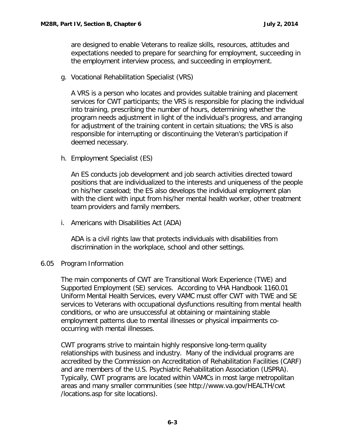are designed to enable Veterans to realize skills, resources, attitudes and expectations needed to prepare for searching for employment, succeeding in the employment interview process, and succeeding in employment.

g. Vocational Rehabilitation Specialist (VRS)

A VRS is a person who locates and provides suitable training and placement services for CWT participants; the VRS is responsible for placing the individual into training, prescribing the number of hours, determining whether the program needs adjustment in light of the individual's progress, and arranging for adjustment of the training content in certain situations; the VRS is also responsible for interrupting or discontinuing the Veteran's participation if deemed necessary.

h. Employment Specialist (ES)

An ES conducts job development and job search activities directed toward positions that are individualized to the interests and uniqueness of the people on his/her caseload; the ES also develops the individual employment plan with the client with input from his/her mental health worker, other treatment team providers and family members.

i. Americans with Disabilities Act (ADA)

ADA is a civil rights law that protects individuals with disabilities from discrimination in the workplace, school and other settings.

# <span id="page-3-0"></span>6.05 Program Information

The main components of CWT are Transitional Work Experience (TWE) and Supported Employment (SE) services. According to VHA Handbook 1160.01 Uniform Mental Health Services, every VAMC must offer CWT with TWE and SE services to Veterans with occupational dysfunctions resulting from mental health conditions, or who are unsuccessful at obtaining or maintaining stable employment patterns due to mental illnesses or physical impairments cooccurring with mental illnesses.

CWT programs strive to maintain highly responsive long-term quality relationships with business and industry. Many of the individual programs are accredited by the Commission on Accreditation of Rehabilitation Facilities (CARF) and are members of the U.S. Psychiatric Rehabilitation Association (USPRA). Typically, CWT programs are located within VAMCs in most large metropolitan areas and many smaller communities (see http://www.va.gov/HEALTH/cwt /locations.asp for site locations).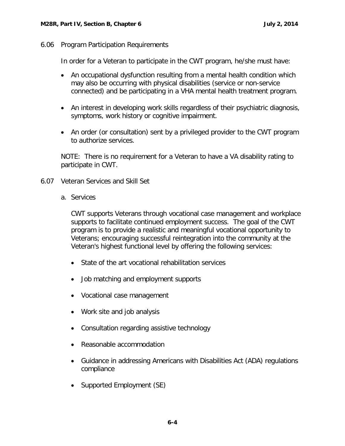<span id="page-4-0"></span>6.06 Program Participation Requirements

In order for a Veteran to participate in the CWT program, he/she must have:

- An occupational dysfunction resulting from a mental health condition which may also be occurring with physical disabilities (service or non-service connected) and be participating in a VHA mental health treatment program.
- An interest in developing work skills regardless of their psychiatric diagnosis, symptoms, work history or cognitive impairment.
- An order (or consultation) sent by a privileged provider to the CWT program to authorize services.

NOTE: There is no requirement for a Veteran to have a VA disability rating to participate in CWT.

- <span id="page-4-2"></span><span id="page-4-1"></span>6.07 Veteran Services and Skill Set
	- a. Services

CWT supports Veterans through vocational case management and workplace supports to facilitate continued employment success. The goal of the CWT program is to provide a realistic and meaningful vocational opportunity to Veterans; encouraging successful reintegration into the community at the Veteran's highest functional level by offering the following services:

- State of the art vocational rehabilitation services
- Job matching and employment supports
- Vocational case management
- Work site and job analysis
- Consultation regarding assistive technology
- Reasonable accommodation
- Guidance in addressing Americans with Disabilities Act (ADA) regulations compliance
- Supported Employment (SE)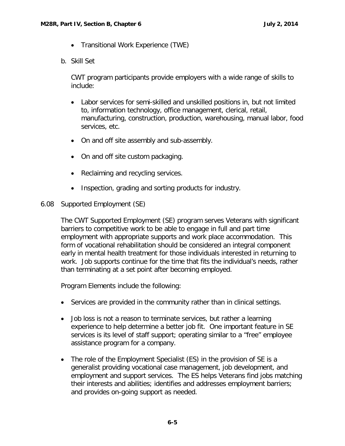- Transitional Work Experience (TWE)
- <span id="page-5-0"></span>b. Skill Set

CWT program participants provide employers with a wide range of skills to include:

- Labor services for semi-skilled and unskilled positions in, but not limited to, information technology, office management, clerical, retail, manufacturing, construction, production, warehousing, manual labor, food services, etc.
- On and off site assembly and sub-assembly.
- On and off site custom packaging.
- Reclaiming and recycling services.
- Inspection, grading and sorting products for industry.
- <span id="page-5-1"></span>6.08 Supported Employment (SE)

The CWT Supported Employment (SE) program serves Veterans with significant barriers to competitive work to be able to engage in full and part time employment with appropriate supports and work place accommodation. This form of vocational rehabilitation should be considered an integral component early in mental health treatment for those individuals interested in returning to work. Job supports continue for the time that fits the individual's needs, rather than terminating at a set point after becoming employed.

Program Elements include the following:

- Services are provided in the community rather than in clinical settings.
- Job loss is not a reason to terminate services, but rather a learning experience to help determine a better job fit. One important feature in SE services is its level of staff support; operating similar to a "free" employee assistance program for a company.
- The role of the Employment Specialist (ES) in the provision of SE is a generalist providing vocational case management, job development, and employment and support services. The ES helps Veterans find jobs matching their interests and abilities; identifies and addresses employment barriers; and provides on-going support as needed.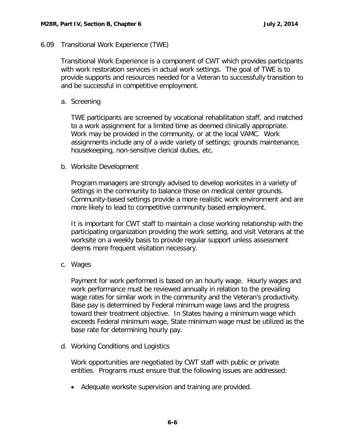## <span id="page-6-0"></span>6.09 Transitional Work Experience (TWE)

Transitional Work Experience is a component of CWT which provides participants with work restoration services in actual work settings. The goal of TWE is to provide supports and resources needed for a Veteran to successfully transition to and be successful in competitive employment.

## <span id="page-6-1"></span>a. Screening

TWE participants are screened by vocational rehabilitation staff, and matched to a work assignment for a limited time as deemed clinically appropriate. Work may be provided in the community, or at the local VAMC. Work assignments include any of a wide variety of settings; grounds maintenance, housekeeping, non-sensitive clerical duties, etc.

### <span id="page-6-2"></span>b. Worksite Development

Program managers are strongly advised to develop worksites in a variety of settings in the community to balance those on medical center grounds. Community-based settings provide a more realistic work environment and are more likely to lead to competitive community based employment.

It is important for CWT staff to maintain a close working relationship with the participating organization providing the work setting, and visit Veterans at the worksite on a weekly basis to provide regular support unless assessment deems more frequent visitation necessary.

<span id="page-6-3"></span>c. Wages

Payment for work performed is based on an hourly wage. Hourly wages and work performance must be reviewed annually in relation to the prevailing wage rates for similar work in the community and the Veteran's productivity. Base pay is determined by Federal minimum wage laws and the progress toward their treatment objective. In States having a minimum wage which exceeds Federal minimum wage, State minimum wage must be utilized as the base rate for determining hourly pay.

<span id="page-6-4"></span>d. Working Conditions and Logistics

Work opportunities are negotiated by CWT staff with public or private entities. Programs must ensure that the following issues are addressed:

• Adequate worksite supervision and training are provided.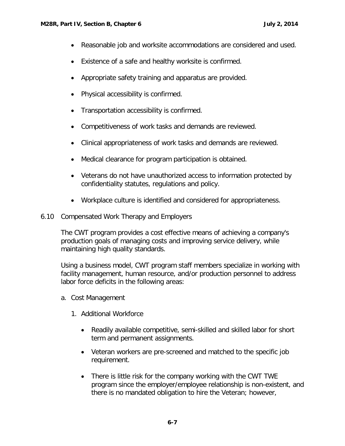- Reasonable job and worksite accommodations are considered and used.
- Existence of a safe and healthy worksite is confirmed.
- Appropriate safety training and apparatus are provided.
- Physical accessibility is confirmed.
- Transportation accessibility is confirmed.
- Competitiveness of work tasks and demands are reviewed.
- Clinical appropriateness of work tasks and demands are reviewed.
- Medical clearance for program participation is obtained.
- Veterans do not have unauthorized access to information protected by confidentiality statutes, regulations and policy.
- Workplace culture is identified and considered for appropriateness.
- <span id="page-7-0"></span>6.10 Compensated Work Therapy and Employers

The CWT program provides a cost effective means of achieving a company's production goals of managing costs and improving service delivery, while maintaining high quality standards.

Using a business model, CWT program staff members specialize in working with facility management, human resource, and/or production personnel to address labor force deficits in the following areas:

- <span id="page-7-1"></span>a. Cost Management
	- 1. Additional Workforce
		- Readily available competitive, semi-skilled and skilled labor for short term and permanent assignments.
		- Veteran workers are pre-screened and matched to the specific job requirement.
		- There is little risk for the company working with the CWT TWE program since the employer/employee relationship is non-existent, and there is no mandated obligation to hire the Veteran; however,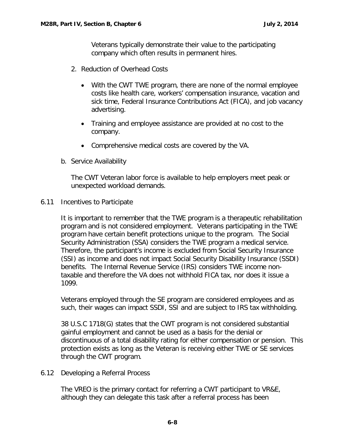Veterans typically demonstrate their value to the participating company which often results in permanent hires.

- 2. Reduction of Overhead Costs
	- With the CWT TWE program, there are none of the normal employee costs like health care, workers' compensation insurance, vacation and sick time, Federal Insurance Contributions Act (FICA), and job vacancy advertising.
	- Training and employee assistance are provided at no cost to the company.
	- Comprehensive medical costs are covered by the VA.
- <span id="page-8-0"></span>b. Service Availability

The CWT Veteran labor force is available to help employers meet peak or unexpected workload demands.

<span id="page-8-1"></span>6.11 Incentives to Participate

It is important to remember that the TWE program is a therapeutic rehabilitation program and is not considered employment. Veterans participating in the TWE program have certain benefit protections unique to the program. The Social Security Administration (SSA) considers the TWE program a medical service. Therefore, the participant's income is excluded from Social Security Insurance (SSI) as income and does not impact Social Security Disability Insurance (SSDI) benefits. The Internal Revenue Service (IRS) considers TWE income nontaxable and therefore the VA does not withhold FICA tax, nor does it issue a 1099.

Veterans employed through the SE program are considered employees and as such, their wages can impact SSDI, SSI and are subject to IRS tax withholding.

38 U.S.C 1718(G) states that the CWT program is not considered substantial gainful employment and cannot be used as a basis for the denial or discontinuous of a total disability rating for either compensation or pension. This protection exists as long as the Veteran is receiving either TWE or SE services through the CWT program.

<span id="page-8-2"></span>6.12 Developing a Referral Process

The VREO is the primary contact for referring a CWT participant to VR&E, although they can delegate this task after a referral process has been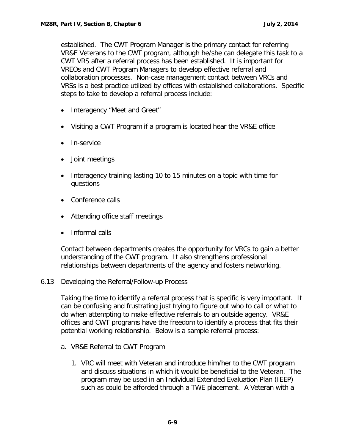established. The CWT Program Manager is the primary contact for referring VR&E Veterans to the CWT program, although he/she can delegate this task to a CWT VRS after a referral process has been established. It is important for VREOs and CWT Program Managers to develop effective referral and collaboration processes. Non-case management contact between VRCs and VRSs is a best practice utilized by offices with established collaborations. Specific steps to take to develop a referral process include:

- Interagency "Meet and Greet"
- Visiting a CWT Program if a program is located hear the VR&E office
- In-service
- Joint meetings
- Interagency training lasting 10 to 15 minutes on a topic with time for questions
- Conference calls
- Attending office staff meetings
- Informal calls

Contact between departments creates the opportunity for VRCs to gain a better understanding of the CWT program. It also strengthens professional relationships between departments of the agency and fosters networking.

<span id="page-9-0"></span>6.13 Developing the Referral/Follow-up Process

Taking the time to identify a referral process that is specific is very important. It can be confusing and frustrating just trying to figure out who to call or what to do when attempting to make effective referrals to an outside agency. VR&E offices and CWT programs have the freedom to identify a process that fits their potential working relationship. Below is a sample referral process:

- <span id="page-9-1"></span>a. VR&E Referral to CWT Program
	- 1. VRC will meet with Veteran and introduce him/her to the CWT program and discuss situations in which it would be beneficial to the Veteran. The program may be used in an Individual Extended Evaluation Plan (IEEP) such as could be afforded through a TWE placement. A Veteran with a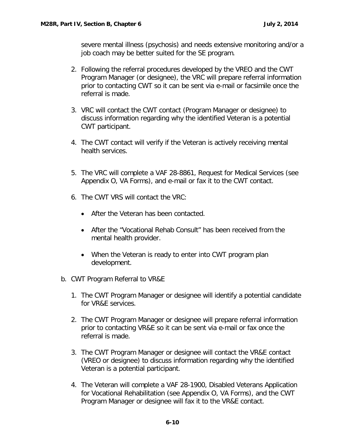severe mental illness (psychosis) and needs extensive monitoring and/or a job coach may be better suited for the SE program.

- 2. Following the referral procedures developed by the VREO and the CWT Program Manager (or designee), the VRC will prepare referral information prior to contacting CWT so it can be sent via e-mail or facsimile once the referral is made.
- 3. VRC will contact the CWT contact (Program Manager or designee) to discuss information regarding why the identified Veteran is a potential CWT participant.
- 4. The CWT contact will verify if the Veteran is actively receiving mental health services.
- 5. The VRC will complete a VAF 28-8861, Request for Medical Services (see Appendix O, VA Forms), and e-mail or fax it to the CWT contact.
- 6. The CWT VRS will contact the VRC:
	- After the Veteran has been contacted.
	- After the "Vocational Rehab Consult" has been received from the mental health provider.
	- When the Veteran is ready to enter into CWT program plan development.
- <span id="page-10-0"></span>b. CWT Program Referral to VR&E
	- 1. The CWT Program Manager or designee will identify a potential candidate for VR&E services.
	- 2. The CWT Program Manager or designee will prepare referral information prior to contacting VR&E so it can be sent via e-mail or fax once the referral is made.
	- 3. The CWT Program Manager or designee will contact the VR&E contact (VREO or designee) to discuss information regarding why the identified Veteran is a potential participant.
	- 4. The Veteran will complete a VAF 28-1900, Disabled Veterans Application for Vocational Rehabilitation (see Appendix O, VA Forms), and the CWT Program Manager or designee will fax it to the VR&E contact.